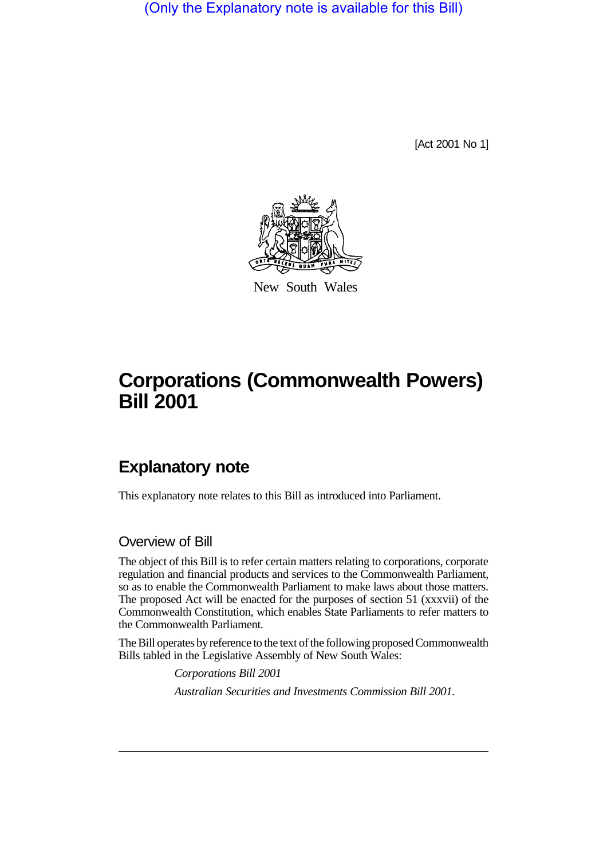(Only the Explanatory note is available for this Bill)

[Act 2001 No 1]



New South Wales

# **Corporations (Commonwealth Powers) Bill 2001**

# **Explanatory note**

This explanatory note relates to this Bill as introduced into Parliament.

Overview of Bill

The object of this Bill is to refer certain matters relating to corporations, corporate regulation and financial products and services to the Commonwealth Parliament, so as to enable the Commonwealth Parliament to make laws about those matters. The proposed Act will be enacted for the purposes of section 51 (xxxvii) of the Commonwealth Constitution, which enables State Parliaments to refer matters to the Commonwealth Parliament.

The Bill operates by reference to the text of the following proposed Commonwealth Bills tabled in the Legislative Assembly of New South Wales:

> *Corporations Bill 2001 Australian Securities and Investments Commission Bill 2001*.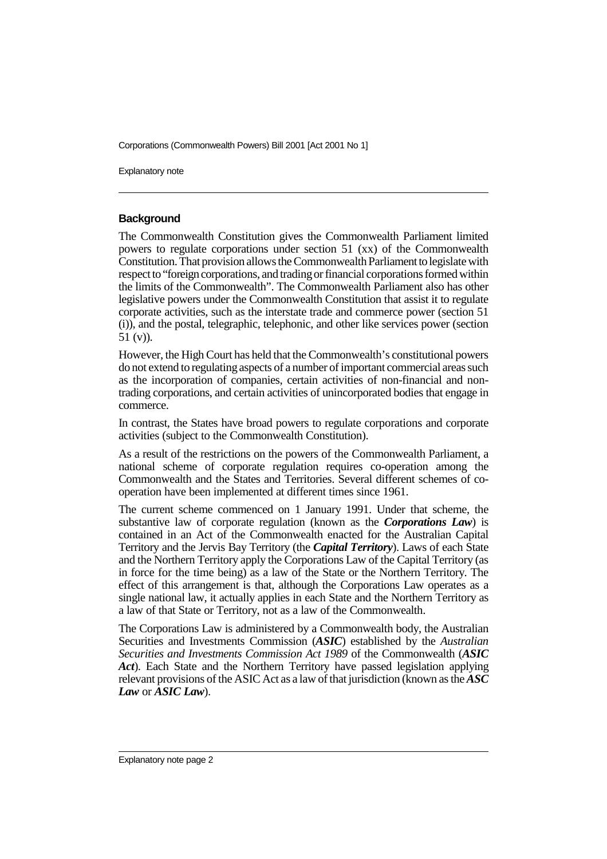Explanatory note

#### **Background**

The Commonwealth Constitution gives the Commonwealth Parliament limited powers to regulate corporations under section 51 (xx) of the Commonwealth Constitution. That provision allows the Commonwealth Parliament to legislate with respect to "foreign corporations, and trading or financial corporations formed within the limits of the Commonwealth". The Commonwealth Parliament also has other legislative powers under the Commonwealth Constitution that assist it to regulate corporate activities, such as the interstate trade and commerce power (section 51 (i)), and the postal, telegraphic, telephonic, and other like services power (section 51 (v)).

However, the High Court has held that the Commonwealth's constitutional powers do not extend to regulating aspects of a number of important commercial areas such as the incorporation of companies, certain activities of non-financial and nontrading corporations, and certain activities of unincorporated bodies that engage in commerce.

In contrast, the States have broad powers to regulate corporations and corporate activities (subject to the Commonwealth Constitution).

As a result of the restrictions on the powers of the Commonwealth Parliament, a national scheme of corporate regulation requires co-operation among the Commonwealth and the States and Territories. Several different schemes of cooperation have been implemented at different times since 1961.

The current scheme commenced on 1 January 1991. Under that scheme, the substantive law of corporate regulation (known as the *Corporations Law*) is contained in an Act of the Commonwealth enacted for the Australian Capital Territory and the Jervis Bay Territory (the *Capital Territory*). Laws of each State and the Northern Territory apply the Corporations Law of the Capital Territory (as in force for the time being) as a law of the State or the Northern Territory. The effect of this arrangement is that, although the Corporations Law operates as a single national law, it actually applies in each State and the Northern Territory as a law of that State or Territory, not as a law of the Commonwealth.

The Corporations Law is administered by a Commonwealth body, the Australian Securities and Investments Commission (*ASIC*) established by the *Australian Securities and Investments Commission Act 1989* of the Commonwealth (*ASIC Act*). Each State and the Northern Territory have passed legislation applying relevant provisions of the ASIC Act as a law of that jurisdiction (known as the *ASC Law* or *ASIC Law*).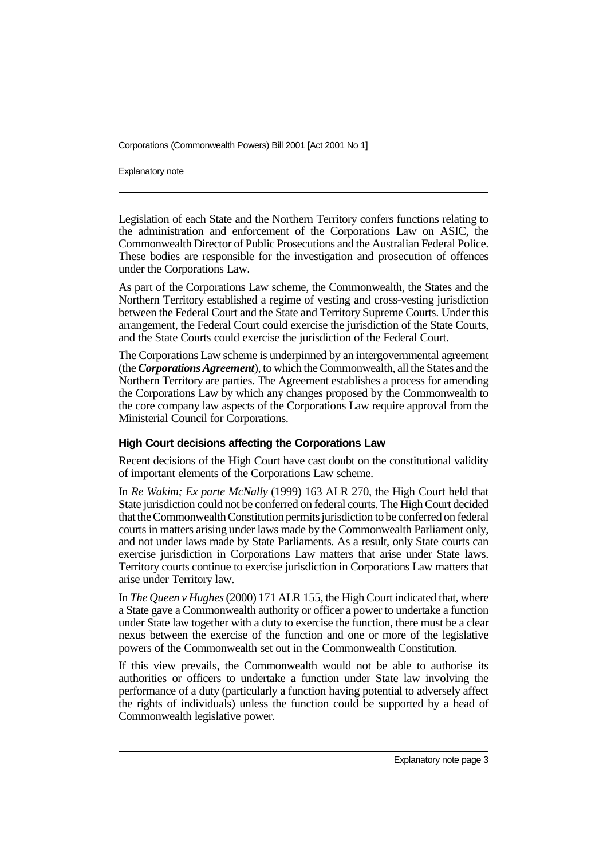Explanatory note

Legislation of each State and the Northern Territory confers functions relating to the administration and enforcement of the Corporations Law on ASIC, the Commonwealth Director of Public Prosecutions and the Australian Federal Police. These bodies are responsible for the investigation and prosecution of offences under the Corporations Law.

As part of the Corporations Law scheme, the Commonwealth, the States and the Northern Territory established a regime of vesting and cross-vesting jurisdiction between the Federal Court and the State and Territory Supreme Courts. Under this arrangement, the Federal Court could exercise the jurisdiction of the State Courts, and the State Courts could exercise the jurisdiction of the Federal Court.

The Corporations Law scheme is underpinned by an intergovernmental agreement (the *Corporations Agreement*), to which the Commonwealth, all the States and the Northern Territory are parties. The Agreement establishes a process for amending the Corporations Law by which any changes proposed by the Commonwealth to the core company law aspects of the Corporations Law require approval from the Ministerial Council for Corporations.

### **High Court decisions affecting the Corporations Law**

Recent decisions of the High Court have cast doubt on the constitutional validity of important elements of the Corporations Law scheme.

In *Re Wakim; Ex parte McNally* (1999) 163 ALR 270, the High Court held that State jurisdiction could not be conferred on federal courts. The High Court decided that the Commonwealth Constitution permits jurisdiction to be conferred on federal courts in matters arising under laws made by the Commonwealth Parliament only, and not under laws made by State Parliaments. As a result, only State courts can exercise jurisdiction in Corporations Law matters that arise under State laws. Territory courts continue to exercise jurisdiction in Corporations Law matters that arise under Territory law.

In *The Queen v Hughes* (2000) 171 ALR 155, the High Court indicated that, where a State gave a Commonwealth authority or officer a power to undertake a function under State law together with a duty to exercise the function, there must be a clear nexus between the exercise of the function and one or more of the legislative powers of the Commonwealth set out in the Commonwealth Constitution.

If this view prevails, the Commonwealth would not be able to authorise its authorities or officers to undertake a function under State law involving the performance of a duty (particularly a function having potential to adversely affect the rights of individuals) unless the function could be supported by a head of Commonwealth legislative power.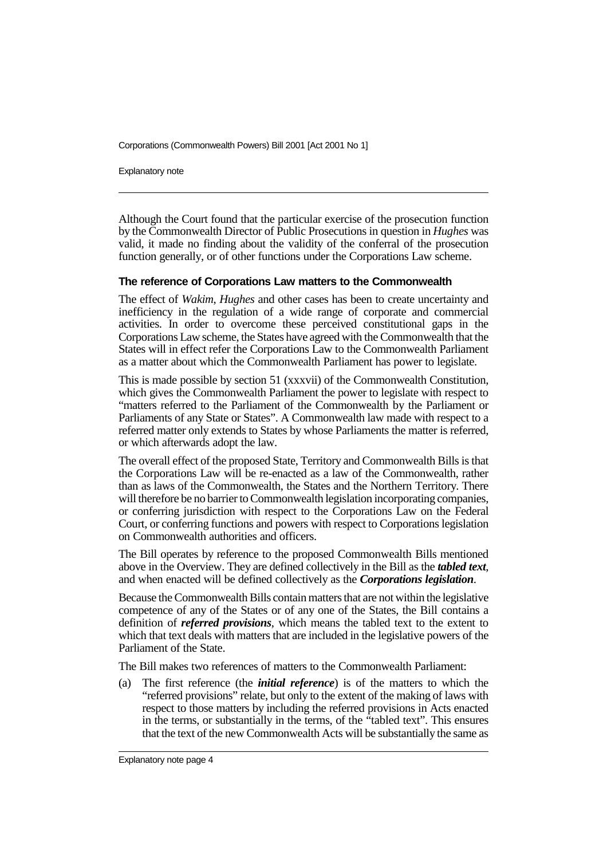Explanatory note

Although the Court found that the particular exercise of the prosecution function by the Commonwealth Director of Public Prosecutions in question in *Hughes* was valid, it made no finding about the validity of the conferral of the prosecution function generally, or of other functions under the Corporations Law scheme.

#### **The reference of Corporations Law matters to the Commonwealth**

The effect of *Wakim*, *Hughes* and other cases has been to create uncertainty and inefficiency in the regulation of a wide range of corporate and commercial activities. In order to overcome these perceived constitutional gaps in the Corporations Law scheme, the States have agreed with the Commonwealth that the States will in effect refer the Corporations Law to the Commonwealth Parliament as a matter about which the Commonwealth Parliament has power to legislate.

This is made possible by section 51 (xxxvii) of the Commonwealth Constitution, which gives the Commonwealth Parliament the power to legislate with respect to "matters referred to the Parliament of the Commonwealth by the Parliament or Parliaments of any State or States". A Commonwealth law made with respect to a referred matter only extends to States by whose Parliaments the matter is referred, or which afterwards adopt the law.

The overall effect of the proposed State, Territory and Commonwealth Bills is that the Corporations Law will be re-enacted as a law of the Commonwealth, rather than as laws of the Commonwealth, the States and the Northern Territory. There will therefore be no barrier to Commonwealth legislation incorporating companies, or conferring jurisdiction with respect to the Corporations Law on the Federal Court, or conferring functions and powers with respect to Corporations legislation on Commonwealth authorities and officers.

The Bill operates by reference to the proposed Commonwealth Bills mentioned above in the Overview. They are defined collectively in the Bill as the *tabled text*, and when enacted will be defined collectively as the *Corporations legislation*.

Because the Commonwealth Bills contain matters that are not within the legislative competence of any of the States or of any one of the States, the Bill contains a definition of *referred provisions*, which means the tabled text to the extent to which that text deals with matters that are included in the legislative powers of the Parliament of the State.

The Bill makes two references of matters to the Commonwealth Parliament:

(a) The first reference (the *initial reference*) is of the matters to which the "referred provisions" relate, but only to the extent of the making of laws with respect to those matters by including the referred provisions in Acts enacted in the terms, or substantially in the terms, of the "tabled text". This ensures that the text of the new Commonwealth Acts will be substantially the same as

Explanatory note page 4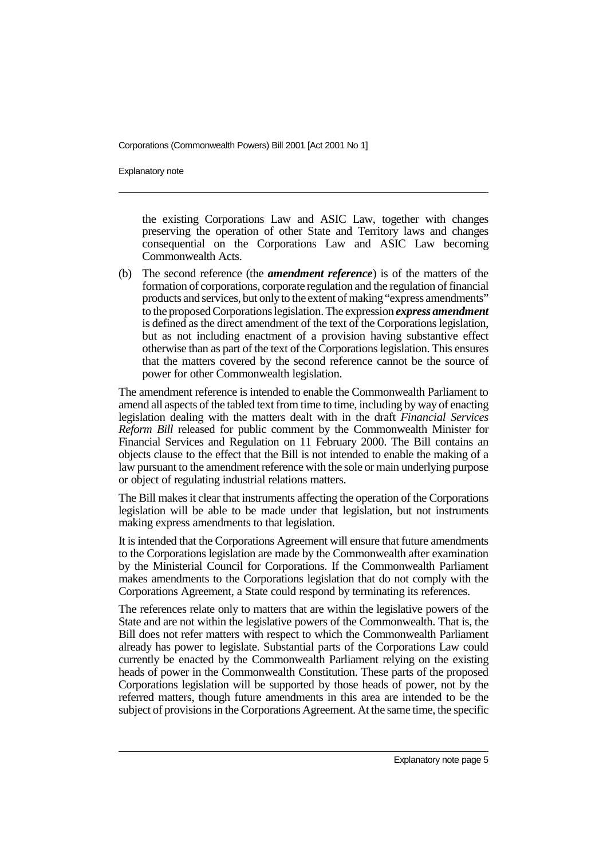Explanatory note

the existing Corporations Law and ASIC Law, together with changes preserving the operation of other State and Territory laws and changes consequential on the Corporations Law and ASIC Law becoming Commonwealth Acts.

(b) The second reference (the *amendment reference*) is of the matters of the formation of corporations, corporate regulation and the regulation of financial products and services, but only to the extent of making "express amendments" to the proposed Corporations legislation. The expression *express amendment* is defined as the direct amendment of the text of the Corporations legislation, but as not including enactment of a provision having substantive effect otherwise than as part of the text of the Corporations legislation. This ensures that the matters covered by the second reference cannot be the source of power for other Commonwealth legislation.

The amendment reference is intended to enable the Commonwealth Parliament to amend all aspects of the tabled text from time to time, including by way of enacting legislation dealing with the matters dealt with in the draft *Financial Services Reform Bill* released for public comment by the Commonwealth Minister for Financial Services and Regulation on 11 February 2000. The Bill contains an objects clause to the effect that the Bill is not intended to enable the making of a law pursuant to the amendment reference with the sole or main underlying purpose or object of regulating industrial relations matters.

The Bill makes it clear that instruments affecting the operation of the Corporations legislation will be able to be made under that legislation, but not instruments making express amendments to that legislation.

It is intended that the Corporations Agreement will ensure that future amendments to the Corporations legislation are made by the Commonwealth after examination by the Ministerial Council for Corporations. If the Commonwealth Parliament makes amendments to the Corporations legislation that do not comply with the Corporations Agreement, a State could respond by terminating its references.

The references relate only to matters that are within the legislative powers of the State and are not within the legislative powers of the Commonwealth. That is, the Bill does not refer matters with respect to which the Commonwealth Parliament already has power to legislate. Substantial parts of the Corporations Law could currently be enacted by the Commonwealth Parliament relying on the existing heads of power in the Commonwealth Constitution. These parts of the proposed Corporations legislation will be supported by those heads of power, not by the referred matters, though future amendments in this area are intended to be the subject of provisions in the Corporations Agreement. At the same time, the specific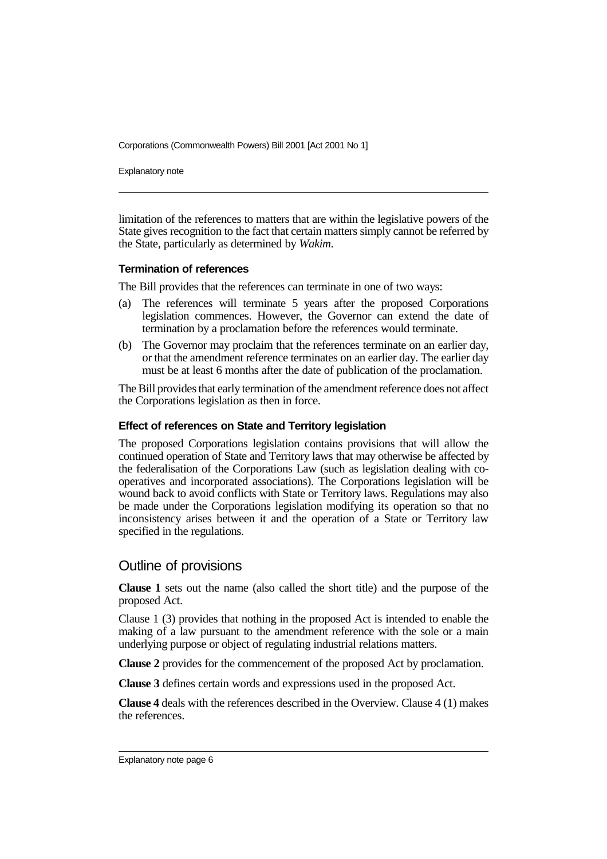Explanatory note

limitation of the references to matters that are within the legislative powers of the State gives recognition to the fact that certain matters simply cannot be referred by the State, particularly as determined by *Wakim*.

#### **Termination of references**

The Bill provides that the references can terminate in one of two ways:

- (a) The references will terminate 5 years after the proposed Corporations legislation commences. However, the Governor can extend the date of termination by a proclamation before the references would terminate.
- (b) The Governor may proclaim that the references terminate on an earlier day, or that the amendment reference terminates on an earlier day. The earlier day must be at least 6 months after the date of publication of the proclamation.

The Bill provides that early termination of the amendment reference does not affect the Corporations legislation as then in force.

#### **Effect of references on State and Territory legislation**

The proposed Corporations legislation contains provisions that will allow the continued operation of State and Territory laws that may otherwise be affected by the federalisation of the Corporations Law (such as legislation dealing with cooperatives and incorporated associations). The Corporations legislation will be wound back to avoid conflicts with State or Territory laws. Regulations may also be made under the Corporations legislation modifying its operation so that no inconsistency arises between it and the operation of a State or Territory law specified in the regulations.

## Outline of provisions

**Clause 1** sets out the name (also called the short title) and the purpose of the proposed Act.

Clause 1 (3) provides that nothing in the proposed Act is intended to enable the making of a law pursuant to the amendment reference with the sole or a main underlying purpose or object of regulating industrial relations matters.

**Clause 2** provides for the commencement of the proposed Act by proclamation.

**Clause 3** defines certain words and expressions used in the proposed Act.

**Clause 4** deals with the references described in the Overview. Clause 4 (1) makes the references.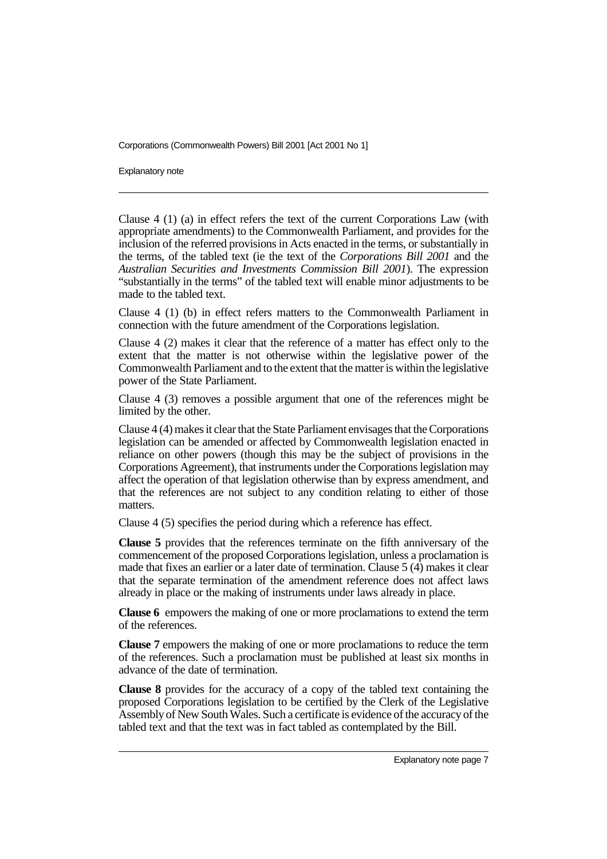Explanatory note

Clause 4 (1) (a) in effect refers the text of the current Corporations Law (with appropriate amendments) to the Commonwealth Parliament, and provides for the inclusion of the referred provisions in Acts enacted in the terms, or substantially in the terms, of the tabled text (ie the text of the *Corporations Bill 2001* and the *Australian Securities and Investments Commission Bill 2001*). The expression "substantially in the terms" of the tabled text will enable minor adjustments to be made to the tabled text.

Clause 4 (1) (b) in effect refers matters to the Commonwealth Parliament in connection with the future amendment of the Corporations legislation.

Clause 4 (2) makes it clear that the reference of a matter has effect only to the extent that the matter is not otherwise within the legislative power of the Commonwealth Parliament and to the extent that the matter is within the legislative power of the State Parliament.

Clause 4 (3) removes a possible argument that one of the references might be limited by the other.

Clause 4 (4) makes it clear that the State Parliament envisages that the Corporations legislation can be amended or affected by Commonwealth legislation enacted in reliance on other powers (though this may be the subject of provisions in the Corporations Agreement), that instruments under the Corporations legislation may affect the operation of that legislation otherwise than by express amendment, and that the references are not subject to any condition relating to either of those matters.

Clause 4 (5) specifies the period during which a reference has effect.

**Clause 5** provides that the references terminate on the fifth anniversary of the commencement of the proposed Corporations legislation, unless a proclamation is made that fixes an earlier or a later date of termination. Clause 5 (4) makes it clear that the separate termination of the amendment reference does not affect laws already in place or the making of instruments under laws already in place.

**Clause 6** empowers the making of one or more proclamations to extend the term of the references.

**Clause 7** empowers the making of one or more proclamations to reduce the term of the references. Such a proclamation must be published at least six months in advance of the date of termination.

**Clause 8** provides for the accuracy of a copy of the tabled text containing the proposed Corporations legislation to be certified by the Clerk of the Legislative Assembly of New South Wales. Such a certificate is evidence of the accuracy of the tabled text and that the text was in fact tabled as contemplated by the Bill.